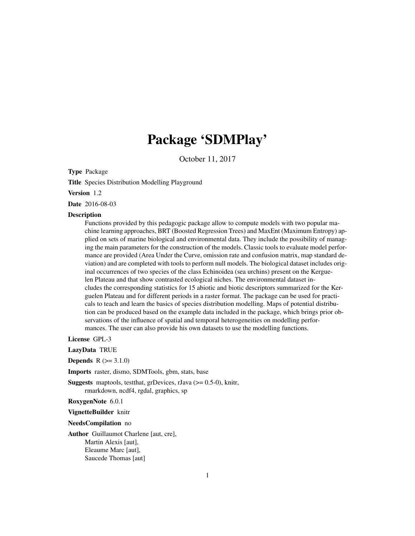# Package 'SDMPlay'

October 11, 2017

<span id="page-0-0"></span>Type Package

Title Species Distribution Modelling Playground

Version 1.2

Date 2016-08-03

#### **Description**

Functions provided by this pedagogic package allow to compute models with two popular machine learning approaches, BRT (Boosted Regression Trees) and MaxEnt (Maximum Entropy) applied on sets of marine biological and environmental data. They include the possibility of managing the main parameters for the construction of the models. Classic tools to evaluate model performance are provided (Area Under the Curve, omission rate and confusion matrix, map standard deviation) and are completed with tools to perform null models. The biological dataset includes original occurrences of two species of the class Echinoidea (sea urchins) present on the Kerguelen Plateau and that show contrasted ecological niches. The environmental dataset includes the corresponding statistics for 15 abiotic and biotic descriptors summarized for the Kerguelen Plateau and for different periods in a raster format. The package can be used for practicals to teach and learn the basics of species distribution modelling. Maps of potential distribution can be produced based on the example data included in the package, which brings prior observations of the influence of spatial and temporal heterogeneities on modelling performances. The user can also provide his own datasets to use the modelling functions.

License GPL-3

LazyData TRUE

**Depends**  $R (= 3.1.0)$ 

Imports raster, dismo, SDMTools, gbm, stats, base

**Suggests** maptools, test that, grDevices, rJava  $(>= 0.5-0)$ , knitr, rmarkdown, ncdf4, rgdal, graphics, sp

RoxygenNote 6.0.1

VignetteBuilder knitr

NeedsCompilation no

Author Guillaumot Charlene [aut, cre], Martin Alexis [aut], Eleaume Marc [aut], Saucede Thomas [aut]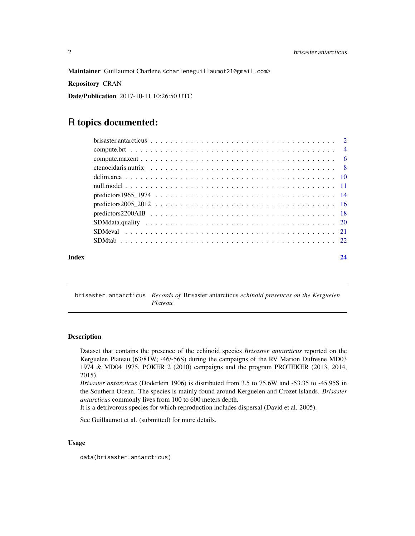<span id="page-1-0"></span>Maintainer Guillaumot Charlene <charleneguillaumot21@gmail.com>

Repository CRAN

Date/Publication 2017-10-11 10:26:50 UTC

# R topics documented:

brisaster.antarcticus *Records of* Brisaster antarcticus *echinoid presences on the Kerguelen Plateau*

#### Description

Dataset that contains the presence of the echinoid species *Brisaster antarcticus* reported on the Kerguelen Plateau (63/81W; -46/-56S) during the campaigns of the RV Marion Dufresne MD03 1974 & MD04 1975, POKER 2 (2010) campaigns and the program PROTEKER (2013, 2014, 2015).

*Brisaster antarcticus* (Doderlein 1906) is distributed from 3.5 to 75.6W and -53.35 to -45.95S in the Southern Ocean. The species is mainly found around Kerguelen and Crozet Islands. *Brisaster antarcticus* commonly lives from 100 to 600 meters depth.

It is a detrivorous species for which reproduction includes dispersal (David et al. 2005).

See Guillaumot et al. (submitted) for more details.

# Usage

data(brisaster.antarcticus)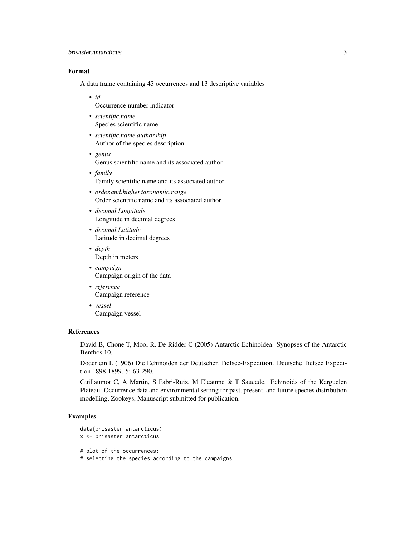# brisaster.antarcticus 3

# Format

A data frame containing 43 occurrences and 13 descriptive variables

• *id*

Occurrence number indicator

- *scientific.name* Species scientific name
- *scientific.name.authorship* Author of the species description
- *genus* Genus scientific name and its associated author
- *family* Family scientific name and its associated author
- *order.and.higher.taxonomic.range* Order scientific name and its associated author
- *decimal.Longitude* Longitude in decimal degrees
- *decimal.Latitude* Latitude in decimal degrees
- *depth* Depth in meters
- *campaign* Campaign origin of the data
- *reference* Campaign reference
- *vessel* Campaign vessel

### References

David B, Chone T, Mooi R, De Ridder C (2005) Antarctic Echinoidea. Synopses of the Antarctic Benthos 10.

Doderlein L (1906) Die Echinoiden der Deutschen Tiefsee-Expedition. Deutsche Tiefsee Expedition 1898-1899. 5: 63-290.

Guillaumot C, A Martin, S Fabri-Ruiz, M Eleaume & T Saucede. Echinoids of the Kerguelen Plateau: Occurrence data and environmental setting for past, present, and future species distribution modelling, Zookeys, Manuscript submitted for publication.

```
data(brisaster.antarcticus)
x <- brisaster.antarcticus
# plot of the occurrences:
# selecting the species according to the campaigns
```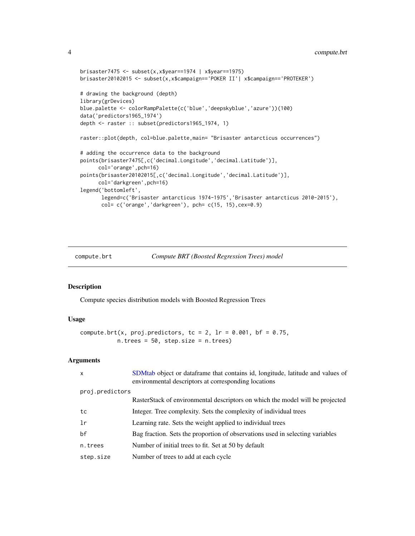```
brisaster7475 <- subset(x,x$year==1974 | x$year==1975)
brisaster20102015 <- subset(x,x$campaign=='POKER II'| x$campaign=='PROTEKER')
# drawing the background (depth)
library(grDevices)
blue.palette <- colorRampPalette(c('blue','deepskyblue','azure'))(100)
data('predictors1965_1974')
depth <- raster :: subset(predictors1965_1974, 1)
raster::plot(depth, col=blue.palette,main= "Brisaster antarcticus occurrences")
# adding the occurrence data to the background
points(brisaster7475[,c('decimal.Longitude','decimal.Latitude')],
      col='orange',pch=16)
points(brisaster20102015[,c('decimal.Longitude','decimal.Latitude')],
      col='darkgreen',pch=16)
legend('bottomleft',
       legend=c('Brisaster antarcticus 1974-1975','Brisaster antarcticus 2010-2015'),
       col= c('orange','darkgreen'), pch= c(15, 15),cex=0.9)
```
<span id="page-3-1"></span>compute.brt *Compute BRT (Boosted Regression Trees) model*

# Description

Compute species distribution models with Boosted Regression Trees

# Usage

```
compute.brt(x, proj.predictors, tc = 2, \text{lr} = 0.001, bf = 0.75,
           n.trees = 50, step.size = n.trees)
```
#### Arguments

| $\mathsf{x}$    | SDMtab object or dataframe that contains id, longitude, latitude and values of<br>environmental descriptors at corresponding locations |  |
|-----------------|----------------------------------------------------------------------------------------------------------------------------------------|--|
| proj.predictors |                                                                                                                                        |  |
|                 | RasterStack of environmental descriptors on which the model will be projected                                                          |  |
| tc              | Integer. Tree complexity. Sets the complexity of individual trees                                                                      |  |
| 1r              | Learning rate. Sets the weight applied to individual trees                                                                             |  |
| bf              | Bag fraction. Sets the proportion of observations used in selecting variables                                                          |  |
| n.trees         | Number of initial trees to fit. Set at 50 by default                                                                                   |  |
| step.size       | Number of trees to add at each cycle                                                                                                   |  |
|                 |                                                                                                                                        |  |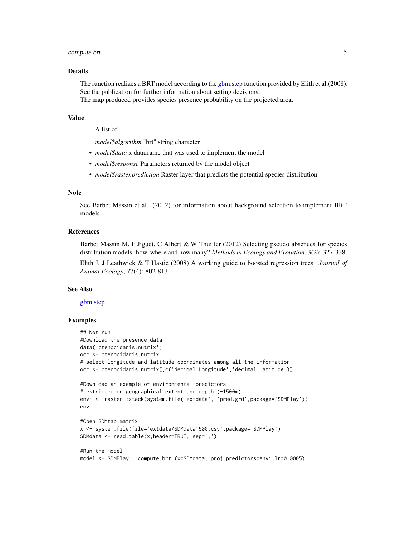# <span id="page-4-0"></span>compute.brt 5

#### Details

The function realizes a BRT model according to the [gbm.step](#page-0-0) function provided by Elith et al. (2008). See the publication for further information about setting decisions. The map produced provides species presence probability on the projected area.

#### Value

A list of 4

*model\$algorithm* "brt" string character

- *model\$data* x dataframe that was used to implement the model
- *model\$response* Parameters returned by the model object
- *model\$raster.prediction* Raster layer that predicts the potential species distribution

#### Note

See Barbet Massin et al. (2012) for information about background selection to implement BRT models

# References

Barbet Massin M, F Jiguet, C Albert & W Thuiller (2012) Selecting pseudo absences for species distribution models: how, where and how many? *Methods in Ecology and Evolution*, 3(2): 327-338.

Elith J, J Leathwick & T Hastie (2008) A working guide to boosted regression trees. *Journal of Animal Ecology*, 77(4): 802-813.

#### See Also

#### [gbm.step](#page-0-0)

```
## Not run:
#Download the presence data
data('ctenocidaris.nutrix')
occ <- ctenocidaris.nutrix
# select longitude and latitude coordinates among all the information
occ <- ctenocidaris.nutrix[,c('decimal.Longitude','decimal.Latitude')]
#Download an example of environmental predictors
#restricted on geographical extent and depth (-1500m)
envi <- raster::stack(system.file('extdata', 'pred.grd',package='SDMPlay'))
envi
#Open SDMtab matrix
x <- system.file(file='extdata/SDMdata1500.csv',package='SDMPlay')
SDMdata <- read.table(x,header=TRUE, sep=';')
#Run the model
model <- SDMPlay:::compute.brt (x=SDMdata, proj.predictors=envi,lr=0.0005)
```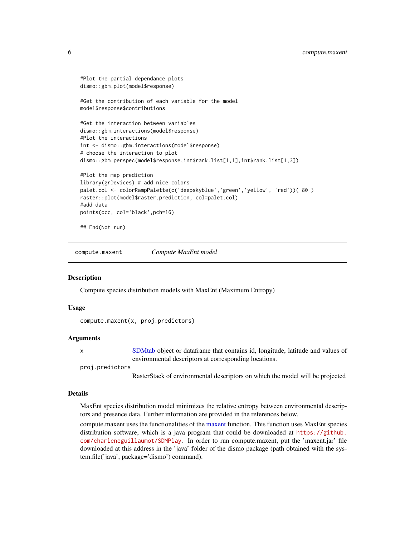```
#Plot the partial dependance plots
dismo::gbm.plot(model$response)
#Get the contribution of each variable for the model
model$response$contributions
#Get the interaction between variables
dismo::gbm.interactions(model$response)
#Plot the interactions
int <- dismo::gbm.interactions(model$response)
# choose the interaction to plot
dismo::gbm.perspec(model$response,int$rank.list[1,1],int$rank.list[1,3])
#Plot the map prediction
library(grDevices) # add nice colors
palet.col <- colorRampPalette(c('deepskyblue','green','yellow', 'red'))( 80 )
raster::plot(model$raster.prediction, col=palet.col)
#add data
points(occ, col='black',pch=16)
## End(Not run)
```
<span id="page-5-1"></span>compute.maxent *Compute MaxEnt model*

#### Description

Compute species distribution models with MaxEnt (Maximum Entropy)

#### Usage

```
compute.maxent(x, proj.predictors)
```
#### Arguments

x [SDMtab](#page-21-1) object or dataframe that contains id, longitude, latitude and values of environmental descriptors at corresponding locations.

```
proj.predictors
```
RasterStack of environmental descriptors on which the model will be projected

#### Details

MaxEnt species distribution model minimizes the relative entropy between environmental descriptors and presence data. Further information are provided in the references below.

compute.[maxent](#page-0-0) uses the functionalities of the maxent function. This function uses MaxEnt species distribution software, which is a java program that could be downloaded at [https://github.](https://github.com/charleneguillaumot/SDMPlay) [com/charleneguillaumot/SDMPlay](https://github.com/charleneguillaumot/SDMPlay). In order to run compute.maxent, put the 'maxent.jar' file downloaded at this address in the 'java' folder of the dismo package (path obtained with the system.file('java', package='dismo') command).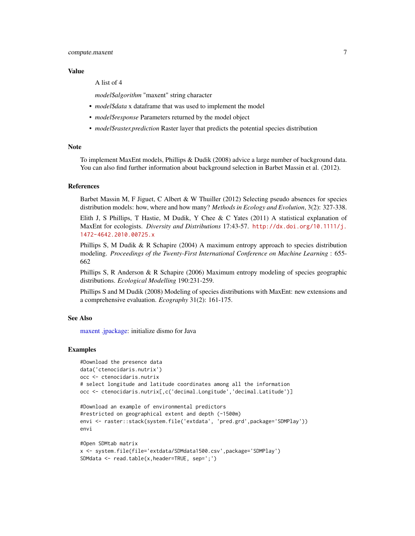#### <span id="page-6-0"></span>Value

A list of 4

*model\$algorithm* "maxent" string character

- *model\$data* x dataframe that was used to implement the model
- *model\$response* Parameters returned by the model object
- *model\$raster.prediction* Raster layer that predicts the potential species distribution

#### Note

To implement MaxEnt models, Phillips & Dudik (2008) advice a large number of background data. You can also find further information about background selection in Barbet Massin et al. (2012).

# References

Barbet Massin M, F Jiguet, C Albert & W Thuiller (2012) Selecting pseudo absences for species distribution models: how, where and how many? *Methods in Ecology and Evolution*, 3(2): 327-338.

Elith J, S Phillips, T Hastie, M Dudik, Y Chee & C Yates (2011) A statistical explanation of MaxEnt for ecologists. *Diversity and Distributions* 17:43-57. [http://dx.doi.org/10.1111/j.](http://dx.doi.org/10.1111/j.1472-4642.2010.00725.x) [1472-4642.2010.00725.x](http://dx.doi.org/10.1111/j.1472-4642.2010.00725.x)

Phillips S, M Dudik & R Schapire (2004) A maximum entropy approach to species distribution modeling. *Proceedings of the Twenty-First International Conference on Machine Learning* : 655- 662

Phillips S, R Anderson & R Schapire (2006) Maximum entropy modeling of species geographic distributions. *Ecological Modelling* 190:231-259.

Phillips S and M Dudik (2008) Modeling of species distributions with MaxEnt: new extensions and a comprehensive evaluation. *Ecography* 31(2): 161-175.

#### See Also

[maxent](#page-0-0) [.jpackage:](#page-0-0) initialize dismo for Java

```
#Download the presence data
data('ctenocidaris.nutrix')
occ <- ctenocidaris.nutrix
# select longitude and latitude coordinates among all the information
occ <- ctenocidaris.nutrix[,c('decimal.Longitude','decimal.Latitude')]
```

```
#Download an example of environmental predictors
#restricted on geographical extent and depth (-1500m)
envi <- raster::stack(system.file('extdata', 'pred.grd',package='SDMPlay'))
envi
```

```
#Open SDMtab matrix
x <- system.file(file='extdata/SDMdata1500.csv',package='SDMPlay')
SDMdata <- read.table(x,header=TRUE, sep=';')
```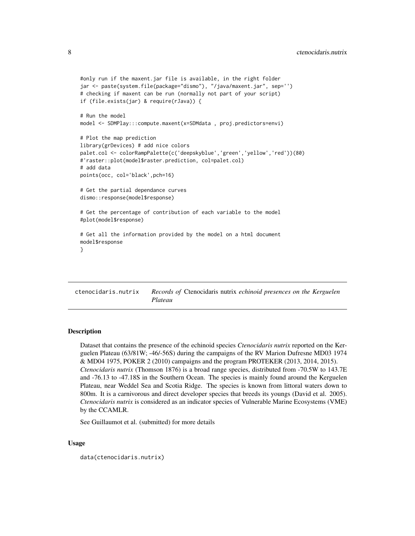```
#only run if the maxent.jar file is available, in the right folder
jar <- paste(system.file(package="dismo"), "/java/maxent.jar", sep='')
# checking if maxent can be run (normally not part of your script)
if (file.exists(jar) & require(rJava)) {
# Run the model
model <- SDMPlay:::compute.maxent(x=SDMdata , proj.predictors=envi)
# Plot the map prediction
library(grDevices) # add nice colors
palet.col <- colorRampPalette(c('deepskyblue','green','yellow','red'))(80)
#'raster::plot(model$raster.prediction, col=palet.col)
# add data
points(occ, col='black',pch=16)
# Get the partial dependance curves
dismo::response(model$response)
# Get the percentage of contribution of each variable to the model
#plot(model$response)
# Get all the information provided by the model on a html document
model$response
}
```
ctenocidaris.nutrix *Records of* Ctenocidaris nutrix *echinoid presences on the Kerguelen Plateau*

# Description

Dataset that contains the presence of the echinoid species *Ctenocidaris nutrix* reported on the Kerguelen Plateau (63/81W; -46/-56S) during the campaigns of the RV Marion Dufresne MD03 1974 & MD04 1975, POKER 2 (2010) campaigns and the program PROTEKER (2013, 2014, 2015). *Ctenocidaris nutrix* (Thomson 1876) is a broad range species, distributed from -70.5W to 143.7E and -76.13 to -47.18S in the Southern Ocean. The species is mainly found around the Kerguelen Plateau, near Weddel Sea and Scotia Ridge. The species is known from littoral waters down to 800m. It is a carnivorous and direct developer species that breeds its youngs (David et al. 2005). *Ctenocidaris nutrix* is considered as an indicator species of Vulnerable Marine Ecosystems (VME) by the CCAMLR.

See Guillaumot et al. (submitted) for more details

# Usage

data(ctenocidaris.nutrix)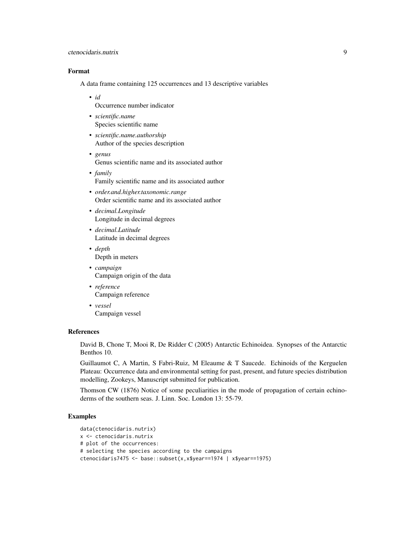# ctenocidaris.nutrix 9

# Format

A data frame containing 125 occurrences and 13 descriptive variables

• *id*

Occurrence number indicator

- *scientific.name* Species scientific name
- *scientific.name.authorship* Author of the species description
- *genus* Genus scientific name and its associated author
- *family* Family scientific name and its associated author
- *order.and.higher.taxonomic.range* Order scientific name and its associated author
- *decimal.Longitude* Longitude in decimal degrees
- *decimal.Latitude* Latitude in decimal degrees
- *depth* Depth in meters
- *campaign* Campaign origin of the data
- *reference* Campaign reference
- *vessel* Campaign vessel

### References

David B, Chone T, Mooi R, De Ridder C (2005) Antarctic Echinoidea. Synopses of the Antarctic Benthos 10.

Guillaumot C, A Martin, S Fabri-Ruiz, M Eleaume & T Saucede. Echinoids of the Kerguelen Plateau: Occurrence data and environmental setting for past, present, and future species distribution modelling, Zookeys, Manuscript submitted for publication.

Thomson CW (1876) Notice of some peculiarities in the mode of propagation of certain echinoderms of the southern seas. J. Linn. Soc. London 13: 55-79.

```
data(ctenocidaris.nutrix)
x <- ctenocidaris.nutrix
# plot of the occurrences:
# selecting the species according to the campaigns
ctenocidaris7475 <- base::subset(x,x$year==1974 | x$year==1975)
```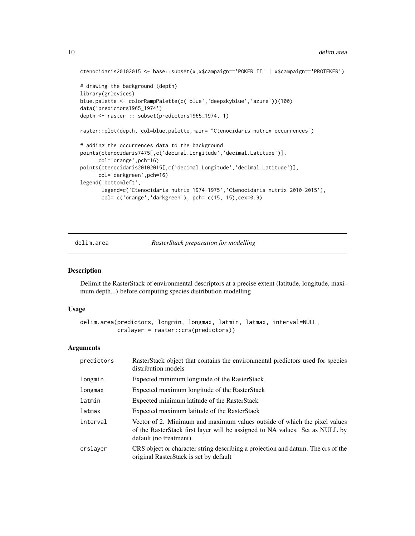```
ctenocidaris20102015 <- base::subset(x,x$campaign=='POKER II' | x$campaign=='PROTEKER')
# drawing the background (depth)
library(grDevices)
blue.palette <- colorRampPalette(c('blue','deepskyblue','azure'))(100)
data('predictors1965_1974')
depth <- raster :: subset(predictors1965_1974, 1)
raster::plot(depth, col=blue.palette,main= "Ctenocidaris nutrix occurrences")
# adding the occurrences data to the background
points(ctenocidaris7475[,c('decimal.Longitude','decimal.Latitude')],
      col='orange',pch=16)
points(ctenocidaris20102015[,c('decimal.Longitude','decimal.Latitude')],
     col='darkgreen',pch=16)
legend('bottomleft',
      legend=c('Ctenocidaris nutrix 1974-1975','Ctenocidaris nutrix 2010-2015'),
      col= c('orange','darkgreen'), pch= c(15, 15),cex=0.9)
```
<span id="page-9-1"></span>delim.area *RasterStack preparation for modelling*

#### Description

Delimit the RasterStack of environmental descriptors at a precise extent (latitude, longitude, maximum depth...) before computing species distribution modelling

#### Usage

```
delim.area(predictors, longmin, longmax, latmin, latmax, interval=NULL,
          crslayer = raster::crs(predictors))
```
#### Arguments

| predictors | RasterStack object that contains the environmental predictors used for species<br>distribution models                                                                                |
|------------|--------------------------------------------------------------------------------------------------------------------------------------------------------------------------------------|
| longmin    | Expected minimum longitude of the RasterStack                                                                                                                                        |
| longmax    | Expected maximum longitude of the RasterStack                                                                                                                                        |
| latmin     | Expected minimum latitude of the RasterStack                                                                                                                                         |
| latmax     | Expected maximum latitude of the RasterStack                                                                                                                                         |
| interval   | Vector of 2. Minimum and maximum values outside of which the pixel values<br>of the RasterStack first layer will be assigned to NA values. Set as NULL by<br>default (no treatment). |
| crslayer   | CRS object or character string describing a projection and datum. The crs of the<br>original RasterStack is set by default                                                           |

<span id="page-9-0"></span>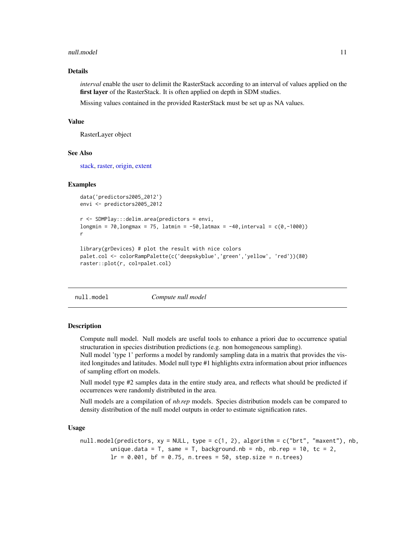#### <span id="page-10-0"></span>null.model 11

# Details

*interval* enable the user to delimit the RasterStack according to an interval of values applied on the first layer of the RasterStack. It is often applied on depth in SDM studies.

Missing values contained in the provided RasterStack must be set up as NA values.

#### Value

RasterLayer object

#### See Also

[stack,](#page-0-0) [raster,](#page-0-0) [origin,](#page-0-0) [extent](#page-0-0)

#### Examples

```
data('predictors2005_2012')
envi <- predictors2005_2012
r <- SDMPlay:::delim.area(predictors = envi,
longmin = 70, longmax = 75, latmin = -50, latmax = -40, interval = c(0, -1000)r
library(grDevices) # plot the result with nice colors
```

```
palet.col <- colorRampPalette(c('deepskyblue','green','yellow', 'red'))(80)
raster::plot(r, col=palet.col)
```

```
null.model Compute null model
```
# Description

Compute null model. Null models are useful tools to enhance a priori due to occurrence spatial structuration in species distribution predictions (e.g. non homogeneous sampling).

Null model 'type 1' performs a model by randomly sampling data in a matrix that provides the visited longitudes and latitudes. Model null type #1 highlights extra information about prior influences of sampling effort on models.

Null model type #2 samples data in the entire study area, and reflects what should be predicted if occurrences were randomly distributed in the area.

Null models are a compilation of *nb.rep* models. Species distribution models can be compared to density distribution of the null model outputs in order to estimate signification rates.

#### Usage

```
null.model(predictors, xy = NULL, type = c(1, 2), algorithm = c("brt", "maxent"), nb,
         unique.data = T, same = T, background.nb = nb, nb.rep = 10, tc = 2,
         lr = 0.001, bf = 0.75, n.trees = 50, step.size = n.trees)
```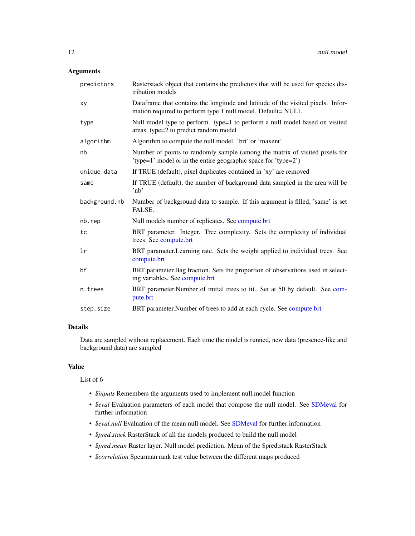# <span id="page-11-0"></span>Arguments

| predictors    | Rasterstack object that contains the predictors that will be used for species dis-<br>tribution models                                          |
|---------------|-------------------------------------------------------------------------------------------------------------------------------------------------|
| xy            | Dataframe that contains the longitude and latitude of the visited pixels. Infor-<br>mation required to perform type 1 null model. Default= NULL |
| type          | Null model type to perform. type=1 to perform a null model based on visited<br>areas, type=2 to predict random model                            |
| algorithm     | Algorithm to compute the null model. 'brt' or 'maxent'                                                                                          |
| nb            | Number of points to randomly sample (among the matrix of visited pixels for<br>'type=1' model or in the entire geographic space for 'type=2')   |
| unique.data   | If TRUE (default), pixel duplicates contained in 'xy' are removed                                                                               |
| same          | If TRUE (default), the number of background data sampled in the area will be<br>$^{\prime}$ nb $^{\prime}$                                      |
| background.nb | Number of background data to sample. If this argument is filled, 'same' is set<br>FALSE.                                                        |
| nb.rep        | Null models number of replicates. See compute.brt                                                                                               |
| tc            | BRT parameter. Integer. Tree complexity. Sets the complexity of individual<br>trees. See compute.brt                                            |
| lr            | BRT parameter. Learning rate. Sets the weight applied to individual trees. See<br>compute.brt                                                   |
|               |                                                                                                                                                 |
| bf            | BRT parameter. Bag fraction. Sets the proportion of observations used in select-<br>ing variables. See compute.brt                              |
| n.trees       | BRT parameter. Number of initial trees to fit. Set at 50 by default. See com-<br>pute.brt                                                       |

# Details

Data are sampled without replacement. Each time the model is runned, new data (presence-like and background data) are sampled

#### Value

List of 6

- *\$inputs* Remembers the arguments used to implement null.model function
- *\$eval* Evaluation parameters of each model that compose the null model. See [SDMeval](#page-20-1) for further information
- *\$eval.null* Evaluation of the mean null model. See [SDMeval](#page-20-1) for further information
- *\$pred.stack* RasterStack of all the models produced to build the null model
- *\$pred.mean* Raster layer. Null model prediction. Mean of the \$pred.stack RasterStack
- *\$correlation* Spearman rank test value between the different maps produced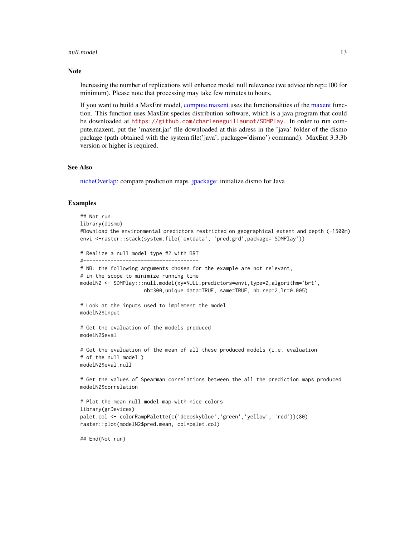#### <span id="page-12-0"></span>null.model and the contract of the contract of the contract of the contract of the contract of the contract of the contract of the contract of the contract of the contract of the contract of the contract of the contract of

#### **Note**

Increasing the number of replications will enhance model null relevance (we advice nb.rep=100 for minimum). Please note that processing may take few minutes to hours.

If you want to build a MaxEnt model, [compute.maxent](#page-5-1) uses the functionalities of the [maxent](#page-0-0) function. This function uses MaxEnt species distribution software, which is a java program that could be downloaded at <https://github.com/charleneguillaumot/SDMPlay>. In order to run compute.maxent, put the 'maxent.jar' file downloaded at this adress in the 'java' folder of the dismo package (path obtained with the system.file('java', package='dismo') command). MaxEnt 3.3.3b version or higher is required.

#### See Also

[nicheOverlap:](#page-0-0) compare prediction maps [.jpackage:](#page-0-0) initialize dismo for Java

#### Examples

```
## Not run:
library(dismo)
#Download the environmental predictors restricted on geographical extent and depth (-1500m)
envi <-raster::stack(system.file('extdata', 'pred.grd',package='SDMPlay'))
# Realize a null model type #2 with BRT
#--------------------------------------
# NB: the following arguments chosen for the example are not relevant,
# in the scope to minimize running time
modelN2 <- SDMPlay:::null.model(xy=NULL,predictors=envi,type=2,algorithm='brt',
                     nb=300,unique.data=TRUE, same=TRUE, nb.rep=2,lr=0.005)
# Look at the inputs used to implement the model
modelN2$input
# Get the evaluation of the models produced
modelN2$eval
# Get the evaluation of the mean of all these produced models (i.e. evaluation
# of the null model )
modelN2$eval.null
# Get the values of Spearman correlations between the all the prediction maps produced
modelN2$correlation
# Plot the mean null model map with nice colors
library(grDevices)
palet.col <- colorRampPalette(c('deepskyblue','green','yellow', 'red'))(80)
raster::plot(modelN2$pred.mean, col=palet.col)
```
## End(Not run)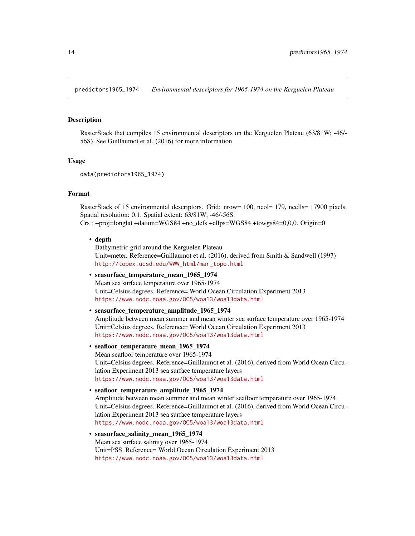<span id="page-13-0"></span>predictors1965\_1974 *Environmental descriptors for 1965-1974 on the Kerguelen Plateau*

#### Description

RasterStack that compiles 15 environmental descriptors on the Kerguelen Plateau (63/81W; -46/- 56S). See Guillaumot et al. (2016) for more information

#### Usage

```
data(predictors1965_1974)
```
# Format

RasterStack of 15 environmental descriptors. Grid: nrow= 100, ncol= 179, ncells= 17900 pixels. Spatial resolution: 0.1. Spatial extent: 63/81W; -46/-56S. Crs : +proj=longlat +datum=WGS84 +no\_defs +ellps=WGS84 +towgs84=0,0,0. Origin=0

• depth

Bathymetric grid around the Kerguelen Plateau Unit=meter. Reference=Guillaumot et al. (2016), derived from Smith & Sandwell (1997) [http://topex.ucsd.edu/WWW\\_html/mar\\_topo.html](http://topex.ucsd.edu/WWW_html/mar_topo.html)

• seasurface\_temperature\_mean\_1965\_1974 Mean sea surface temperature over 1965-1974 Unit=Celsius degrees. Reference= World Ocean Circulation Experiment 2013 <https://www.nodc.noaa.gov/OC5/woa13/woa13data.html>

```
• seasurface_temperature_amplitude_1965_1974
  Amplitude between mean summer and mean winter sea surface temperature over 1965-1974
  Unit=Celsius degrees. Reference= World Ocean Circulation Experiment 2013
  https://www.nodc.noaa.gov/OC5/woa13/woa13data.html
```
- seafloor\_temperature\_mean\_1965\_1974 Mean seafloor temperature over 1965-1974 Unit=Celsius degrees. Reference=Guillaumot et al. (2016), derived from World Ocean Circulation Experiment 2013 sea surface temperature layers <https://www.nodc.noaa.gov/OC5/woa13/woa13data.html>
- seafloor\_temperature\_amplitude\_1965\_1974 Amplitude between mean summer and mean winter seafloor temperature over 1965-1974 Unit=Celsius degrees. Reference=Guillaumot et al. (2016), derived from World Ocean Circulation Experiment 2013 sea surface temperature layers <https://www.nodc.noaa.gov/OC5/woa13/woa13data.html>
- seasurface salinity mean 1965 1974 Mean sea surface salinity over 1965-1974 Unit=PSS. Reference= World Ocean Circulation Experiment 2013 <https://www.nodc.noaa.gov/OC5/woa13/woa13data.html>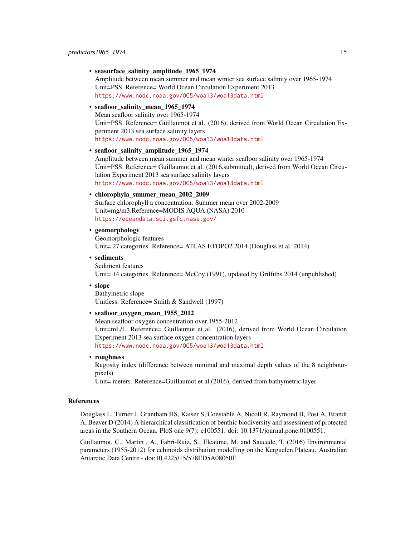• seasurface\_salinity\_amplitude\_1965\_1974

Amplitude between mean summer and mean winter sea surface salinity over 1965-1974 Unit=PSS. Reference= World Ocean Circulation Experiment 2013 <https://www.nodc.noaa.gov/OC5/woa13/woa13data.html>

#### • seafloor\_salinity\_mean\_1965\_1974

Mean seafloor salinity over 1965-1974 Unit=PSS. Reference= Guillaumot et al. (2016), derived from World Ocean Circulation Experiment 2013 sea surface salinity layers <https://www.nodc.noaa.gov/OC5/woa13/woa13data.html>

#### • seafloor salinity amplitude 1965 1974

Amplitude between mean summer and mean winter seafloor salinity over 1965-1974 Unit=PSS. Reference= Guillaumot et al. (2016,submitted), derived from World Ocean Circulation Experiment 2013 sea surface salinity layers <https://www.nodc.noaa.gov/OC5/woa13/woa13data.html>

#### • chlorophyla\_summer\_mean\_2002\_2009

Surface chlorophyll a concentration. Summer mean over 2002-2009 Unit=mg/m3.Reference=MODIS AQUA (NASA) 2010 <https://oceandata.sci.gsfc.nasa.gov/>

# • geomorphology

Geomorphologic features Unit= 27 categories. Reference= ATLAS ETOPO2 2014 (Douglass et al. 2014)

- sediments Sediment features Unit= 14 categories. Reference= McCoy (1991), updated by Griffiths 2014 (unpublished)
- slope

Bathymetric slope Unitless. Reference= Smith & Sandwell (1997)

# • seafloor\_oxygen\_mean\_1955\_2012

Mean seafloor oxygen concentration over 1955-2012 Unit=mL/L. Reference= Guillaumot et al. (2016), derived from World Ocean Circulation Experiment 2013 sea surface oxygen concentration layers <https://www.nodc.noaa.gov/OC5/woa13/woa13data.html>

• roughness

Rugosity index (difference between minimal and maximal depth values of the 8 neighbourpixels)

Unit= meters. Reference=Guillaumot et al.(2016), derived from bathymetric layer

#### References

Douglass L, Turner J, Grantham HS, Kaiser S, Constable A, Nicoll R, Raymond B, Post A, Brandt A, Beaver D (2014) A hierarchical classification of benthic biodiversity and assessment of protected areas in the Southern Ocean. PloS one 9(7): e100551. doi: 10.1371/journal.pone.0100551.

Guillaumot, C., Martin , A., Fabri-Ruiz, S., Eleaume, M. and Saucede, T. (2016) Environmental parameters (1955-2012) for echinoids distribution modelling on the Kerguelen Plateau. Australian Antarctic Data Centre - doi:10.4225/15/578ED5A08050F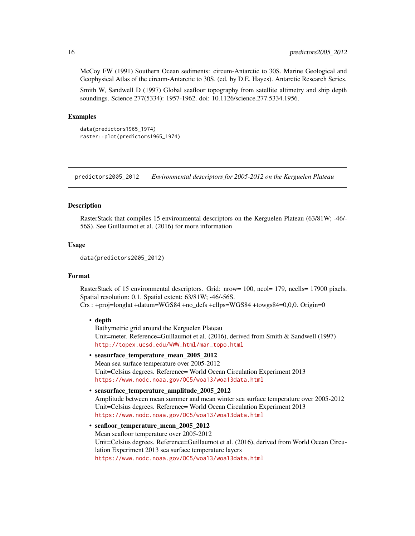McCoy FW (1991) Southern Ocean sediments: circum-Antarctic to 30S. Marine Geological and Geophysical Atlas of the circum-Antarctic to 30S. (ed. by D.E. Hayes). Antarctic Research Series.

Smith W, Sandwell D (1997) Global seafloor topography from satellite altimetry and ship depth soundings. Science 277(5334): 1957-1962. doi: 10.1126/science.277.5334.1956.

# Examples

```
data(predictors1965_1974)
raster::plot(predictors1965_1974)
```
predictors2005\_2012 *Environmental descriptors for 2005-2012 on the Kerguelen Plateau*

#### **Description**

RasterStack that compiles 15 environmental descriptors on the Kerguelen Plateau (63/81W; -46/- 56S). See Guillaumot et al. (2016) for more information

# Usage

```
data(predictors2005_2012)
```
# Format

RasterStack of 15 environmental descriptors. Grid: nrow= 100, ncol= 179, ncells= 17900 pixels. Spatial resolution: 0.1. Spatial extent: 63/81W; -46/-56S.

Crs : +proj=longlat +datum=WGS84 +no\_defs +ellps=WGS84 +towgs84=0,0,0. Origin=0

#### • depth

Bathymetric grid around the Kerguelen Plateau Unit=meter. Reference=Guillaumot et al. (2016), derived from Smith & Sandwell (1997) [http://topex.ucsd.edu/WWW\\_html/mar\\_topo.html](http://topex.ucsd.edu/WWW_html/mar_topo.html)

- seasurface\_temperature\_mean\_2005\_2012 Mean sea surface temperature over 2005-2012 Unit=Celsius degrees. Reference= World Ocean Circulation Experiment 2013 <https://www.nodc.noaa.gov/OC5/woa13/woa13data.html>
- seasurface\_temperature\_amplitude\_2005\_2012 Amplitude between mean summer and mean winter sea surface temperature over 2005-2012 Unit=Celsius degrees. Reference= World Ocean Circulation Experiment 2013 <https://www.nodc.noaa.gov/OC5/woa13/woa13data.html>

```
• seafloor temperature mean 2005 2012
  Mean seafloor temperature over 2005-2012
  Unit=Celsius degrees. Reference=Guillaumot et al. (2016), derived from World Ocean Circu-
  lation Experiment 2013 sea surface temperature layers
 https://www.nodc.noaa.gov/OC5/woa13/woa13data.html
```
<span id="page-15-0"></span>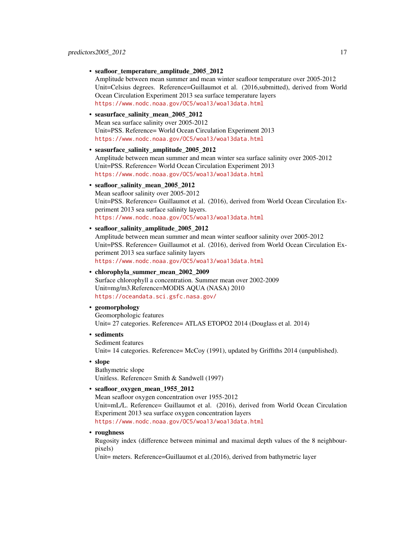• seafloor\_temperature\_amplitude\_2005\_2012

Amplitude between mean summer and mean winter seafloor temperature over 2005-2012 Unit=Celsius degrees. Reference=Guillaumot et al. (2016,submitted), derived from World Ocean Circulation Experiment 2013 sea surface temperature layers <https://www.nodc.noaa.gov/OC5/woa13/woa13data.html>

• seasurface salinity mean 2005 2012

Mean sea surface salinity over 2005-2012 Unit=PSS. Reference= World Ocean Circulation Experiment 2013 <https://www.nodc.noaa.gov/OC5/woa13/woa13data.html>

#### • seasurface\_salinity\_amplitude\_2005\_2012

Amplitude between mean summer and mean winter sea surface salinity over 2005-2012 Unit=PSS. Reference= World Ocean Circulation Experiment 2013 <https://www.nodc.noaa.gov/OC5/woa13/woa13data.html>

#### • seafloor\_salinity\_mean\_2005\_2012

Mean seafloor salinity over 2005-2012 Unit=PSS. Reference= Guillaumot et al. (2016), derived from World Ocean Circulation Experiment 2013 sea surface salinity layers. <https://www.nodc.noaa.gov/OC5/woa13/woa13data.html>

• seafloor\_salinity\_amplitude\_2005\_2012

Amplitude between mean summer and mean winter seafloor salinity over 2005-2012 Unit=PSS. Reference= Guillaumot et al. (2016), derived from World Ocean Circulation Experiment 2013 sea surface salinity layers <https://www.nodc.noaa.gov/OC5/woa13/woa13data.html>

• chlorophyla\_summer\_mean\_2002\_2009

Surface chlorophyll a concentration. Summer mean over 2002-2009 Unit=mg/m3.Reference=MODIS AQUA (NASA) 2010 <https://oceandata.sci.gsfc.nasa.gov/>

# • geomorphology

Geomorphologic features Unit= 27 categories. Reference= ATLAS ETOPO2 2014 (Douglass et al. 2014)

• sediments Sediment features

Unit= 14 categories. Reference= McCoy (1991), updated by Griffiths 2014 (unpublished).

• slope

Bathymetric slope Unitless. Reference= Smith & Sandwell (1997)

#### • seafloor oxygen mean 1955 2012

Mean seafloor oxygen concentration over 1955-2012 Unit=mL/L. Reference= Guillaumot et al. (2016), derived from World Ocean Circulation Experiment 2013 sea surface oxygen concentration layers <https://www.nodc.noaa.gov/OC5/woa13/woa13data.html>

• roughness

Rugosity index (difference between minimal and maximal depth values of the 8 neighbourpixels)

Unit= meters. Reference=Guillaumot et al.(2016), derived from bathymetric layer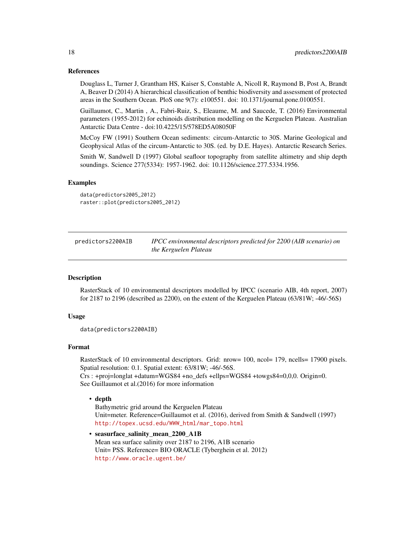#### <span id="page-17-0"></span>References

Douglass L, Turner J, Grantham HS, Kaiser S, Constable A, Nicoll R, Raymond B, Post A, Brandt A, Beaver D (2014) A hierarchical classification of benthic biodiversity and assessment of protected areas in the Southern Ocean. PloS one 9(7): e100551. doi: 10.1371/journal.pone.0100551.

Guillaumot, C., Martin , A., Fabri-Ruiz, S., Eleaume, M. and Saucede, T. (2016) Environmental parameters (1955-2012) for echinoids distribution modelling on the Kerguelen Plateau. Australian Antarctic Data Centre - doi:10.4225/15/578ED5A08050F

McCoy FW (1991) Southern Ocean sediments: circum-Antarctic to 30S. Marine Geological and Geophysical Atlas of the circum-Antarctic to 30S. (ed. by D.E. Hayes). Antarctic Research Series.

Smith W, Sandwell D (1997) Global seafloor topography from satellite altimetry and ship depth soundings. Science 277(5334): 1957-1962. doi: 10.1126/science.277.5334.1956.

## Examples

data(predictors2005\_2012) raster::plot(predictors2005\_2012)

predictors2200AIB *IPCC environmental descriptors predicted for 2200 (AIB scenario) on the Kerguelen Plateau*

# Description

RasterStack of 10 environmental descriptors modelled by IPCC (scenario AIB, 4th report, 2007) for 2187 to 2196 (described as 2200), on the extent of the Kerguelen Plateau (63/81W; -46/-56S)

## Usage

```
data(predictors2200AIB)
```
# Format

RasterStack of 10 environmental descriptors. Grid: nrow= 100, ncol= 179, ncells= 17900 pixels. Spatial resolution: 0.1. Spatial extent: 63/81W; -46/-56S. Crs : +proj=longlat +datum=WGS84 +no\_defs +ellps=WGS84 +towgs84=0,0,0. Origin=0.

See Guillaumot et al.(2016) for more information

### • depth

Bathymetric grid around the Kerguelen Plateau Unit=meter. Reference=Guillaumot et al. (2016), derived from Smith & Sandwell (1997) [http://topex.ucsd.edu/WWW\\_html/mar\\_topo.html](http://topex.ucsd.edu/WWW_html/mar_topo.html)

• seasurface salinity mean 2200 A1B Mean sea surface salinity over 2187 to 2196, A1B scenario Unit= PSS. Reference= BIO ORACLE (Tyberghein et al. 2012) <http://www.oracle.ugent.be/>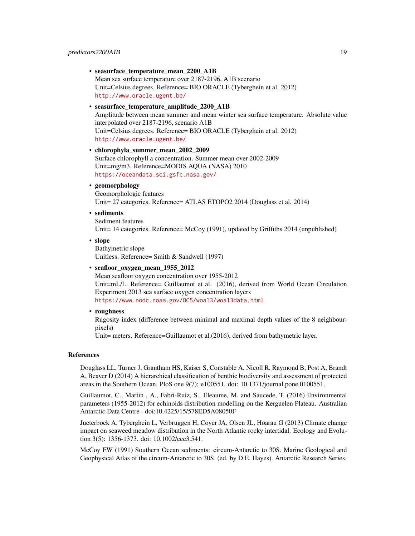• seasurface\_temperature\_mean\_2200\_A1B Mean sea surface temperature over 2187-2196, A1B scenario Unit=Celsius degrees. Reference= BIO ORACLE (Tyberghein et al. 2012) <http://www.oracle.ugent.be/>

# • seasurface\_temperature\_amplitude\_2200\_A1B

Amplitude between mean summer and mean winter sea surface temperature. Absolute value interpolated over 2187-2196, scenario A1B Unit=Celsius degrees. Reference= BIO ORACLE (Tyberghein et al. 2012) <http://www.oracle.ugent.be/>

- chlorophyla\_summer\_mean\_2002\_2009 Surface chlorophyll a concentration. Summer mean over 2002-2009 Unit=mg/m3. Reference=MODIS AQUA (NASA) 2010 <https://oceandata.sci.gsfc.nasa.gov/>
- geomorphology

Geomorphologic features Unit= 27 categories. Reference= ATLAS ETOPO2 2014 (Douglass et al. 2014)

• sediments

Sediment features Unit= 14 categories. Reference= McCoy (1991), updated by Griffiths 2014 (unpublished)

• slope

Bathymetric slope Unitless. Reference= Smith & Sandwell (1997)

• seafloor\_oxygen\_mean\_1955\_2012

Mean seafloor oxygen concentration over 1955-2012 Unit=mL/L. Reference= Guillaumot et al. (2016), derived from World Ocean Circulation Experiment 2013 sea surface oxygen concentration layers <https://www.nodc.noaa.gov/OC5/woa13/woa13data.html>

• roughness

Rugosity index (difference between minimal and maximal depth values of the 8 neighbourpixels)

Unit= meters. Reference=Guillaumot et al.(2016), derived from bathymetric layer.

#### References

Douglass LL, Turner J, Grantham HS, Kaiser S, Constable A, Nicoll R, Raymond B, Post A, Brandt A, Beaver D (2014) A hierarchical classification of benthic biodiversity and assessment of protected areas in the Southern Ocean. PloS one 9(7): e100551. doi: 10.1371/journal.pone.0100551.

Guillaumot, C., Martin , A., Fabri-Ruiz, S., Eleaume, M. and Saucede, T. (2016) Environmental parameters (1955-2012) for echinoids distribution modelling on the Kerguelen Plateau. Australian Antarctic Data Centre - doi:10.4225/15/578ED5A08050F

Jueterbock A, Tyberghein L, Verbruggen H, Coyer JA, Olsen JL, Hoarau G (2013) Climate change impact on seaweed meadow distribution in the North Atlantic rocky intertidal. Ecology and Evolution 3(5): 1356-1373. doi: 10.1002/ece3.541.

McCoy FW (1991) Southern Ocean sediments: circum-Antarctic to 30S. Marine Geological and Geophysical Atlas of the circum-Antarctic to 30S. (ed. by D.E. Hayes). Antarctic Research Series.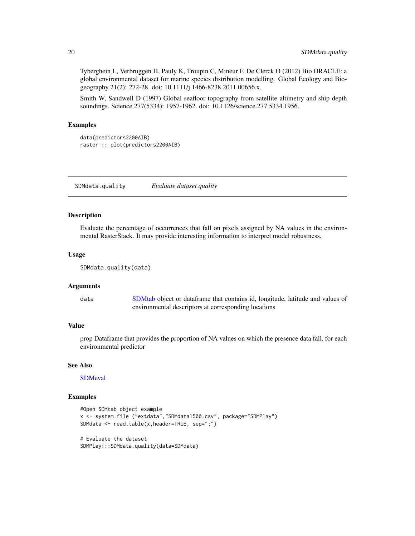Tyberghein L, Verbruggen H, Pauly K, Troupin C, Mineur F, De Clerck O (2012) Bio ORACLE: a global environmental dataset for marine species distribution modelling. Global Ecology and Biogeography 21(2): 272-28. doi: 10.1111/j.1466-8238.2011.00656.x.

Smith W, Sandwell D (1997) Global seafloor topography from satellite altimetry and ship depth soundings. Science 277(5334): 1957-1962. doi: 10.1126/science.277.5334.1956.

#### Examples

```
data(predictors2200AIB)
raster :: plot(predictors2200AIB)
```
SDMdata.quality *Evaluate dataset quality*

#### Description

Evaluate the percentage of occurrences that fall on pixels assigned by NA values in the environmental RasterStack. It may provide interesting information to interpret model robustness.

#### Usage

```
SDMdata.quality(data)
```
# Arguments

data [SDMtab](#page-21-1) object or dataframe that contains id, longitude, latitude and values of environmental descriptors at corresponding locations

#### Value

prop Dataframe that provides the proportion of NA values on which the presence data fall, for each environmental predictor

# See Also

**[SDMeval](#page-20-1)** 

#### Examples

```
#Open SDMtab object example
x <- system.file ("extdata","SDMdata1500.csv", package="SDMPlay")
SDMdata <- read.table(x,header=TRUE, sep=";")
# Evaluate the dataset
```
SDMPlay:::SDMdata.quality(data=SDMdata)

<span id="page-19-0"></span>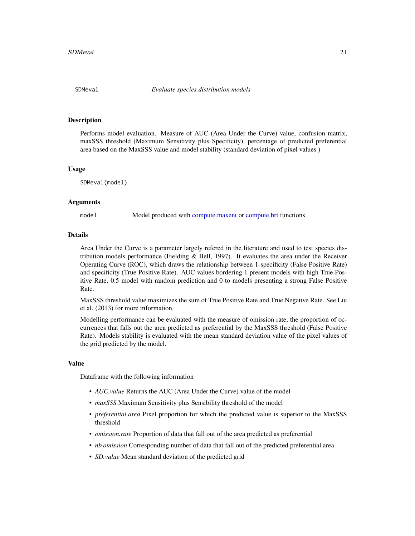<span id="page-20-1"></span><span id="page-20-0"></span>

## **Description**

Performs model evaluation. Measure of AUC (Area Under the Curve) value, confusion matrix, maxSSS threshold (Maximum Sensitivity plus Specificity), percentage of predicted preferential area based on the MaxSSS value and model stability (standard deviation of pixel values )

#### Usage

SDMeval(model)

#### Arguments

model Model produced with [compute.maxent](#page-5-1) or [compute.brt](#page-3-1) functions

#### Details

Area Under the Curve is a parameter largely refered in the literature and used to test species distribution models performance (Fielding  $&$  Bell, 1997). It evaluates the area under the Receiver Operating Curve (ROC), which draws the relationship between 1-specificity (False Positive Rate) and specificity (True Positive Rate). AUC values bordering 1 present models with high True Positive Rate, 0.5 model with random prediction and 0 to models presenting a strong False Positive Rate.

MaxSSS threshold value maximizes the sum of True Positive Rate and True Negative Rate. See Liu et al. (2013) for more information.

Modelling performance can be evaluated with the measure of omission rate, the proportion of occurrences that falls out the area predicted as preferential by the MaxSSS threshold (False Positive Rate). Models stability is evaluated with the mean standard deviation value of the pixel values of the grid predicted by the model.

#### Value

Dataframe with the following information

- *AUC.value* Returns the AUC (Area Under the Curve) value of the model
- *maxSSS* Maximum Sensitivity plus Sensibility threshold of the model
- *preferential.area* Pixel proportion for which the predicted value is superior to the MaxSSS threshold
- *omission.rate* Proportion of data that fall out of the area predicted as preferential
- *nb.omission* Corresponding number of data that fall out of the predicted preferential area
- *SD.value* Mean standard deviation of the predicted grid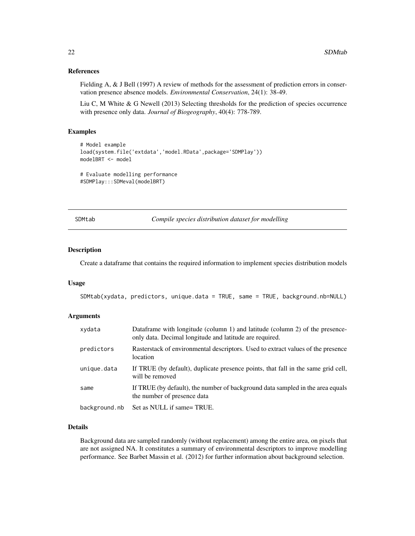## <span id="page-21-0"></span>References

Fielding A, & J Bell (1997) A review of methods for the assessment of prediction errors in conservation presence absence models. *Environmental Conservation*, 24(1): 38-49.

Liu C, M White & G Newell (2013) Selecting thresholds for the prediction of species occurrence with presence only data. *Journal of Biogeography*, 40(4): 778-789.

## Examples

```
# Model example
load(system.file('extdata','model.RData',package='SDMPlay'))
modelBRT <- model
# Evaluate modelling performance
#SDMPlay:::SDMeval(modelBRT)
```
<span id="page-21-1"></span>

SDMtab *Compile species distribution dataset for modelling*

#### Description

Create a dataframe that contains the required information to implement species distribution models

#### Usage

```
SDMtab(xydata, predictors, unique.data = TRUE, same = TRUE, background.nb=NULL)
```
## Arguments

| xydata        | Dataframe with longitude (column 1) and latitude (column 2) of the presence-<br>only data. Decimal longitude and latitude are required. |
|---------------|-----------------------------------------------------------------------------------------------------------------------------------------|
| predictors    | Rasterstack of environmental descriptors. Used to extract values of the presence<br>location                                            |
| unique.data   | If TRUE (by default), duplicate presence points, that fall in the same grid cell,<br>will be removed                                    |
| same          | If TRUE (by default), the number of background data sampled in the area equals<br>the number of presence data                           |
| background.nb | Set as NULL if same= TRUE.                                                                                                              |

#### Details

Background data are sampled randomly (without replacement) among the entire area, on pixels that are not assigned NA. It constitutes a summary of environmental descriptors to improve modelling performance. See Barbet Massin et al. (2012) for further information about background selection.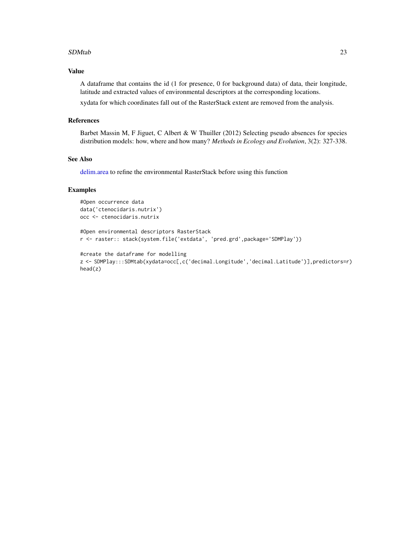#### <span id="page-22-0"></span>SDMtab 23

# Value

A dataframe that contains the id (1 for presence, 0 for background data) of data, their longitude, latitude and extracted values of environmental descriptors at the corresponding locations.

xydata for which coordinates fall out of the RasterStack extent are removed from the analysis.

# References

Barbet Massin M, F Jiguet, C Albert & W Thuiller (2012) Selecting pseudo absences for species distribution models: how, where and how many? *Methods in Ecology and Evolution*, 3(2): 327-338.

#### See Also

[delim.area](#page-9-1) to refine the environmental RasterStack before using this function

```
#Open occurrence data
data('ctenocidaris.nutrix')
occ <- ctenocidaris.nutrix
```

```
#Open environmental descriptors RasterStack
r <- raster:: stack(system.file('extdata', 'pred.grd',package='SDMPlay'))
```

```
#create the dataframe for modelling
z <- SDMPlay:::SDMtab(xydata=occ[,c('decimal.Longitude','decimal.Latitude')],predictors=r)
head(z)
```